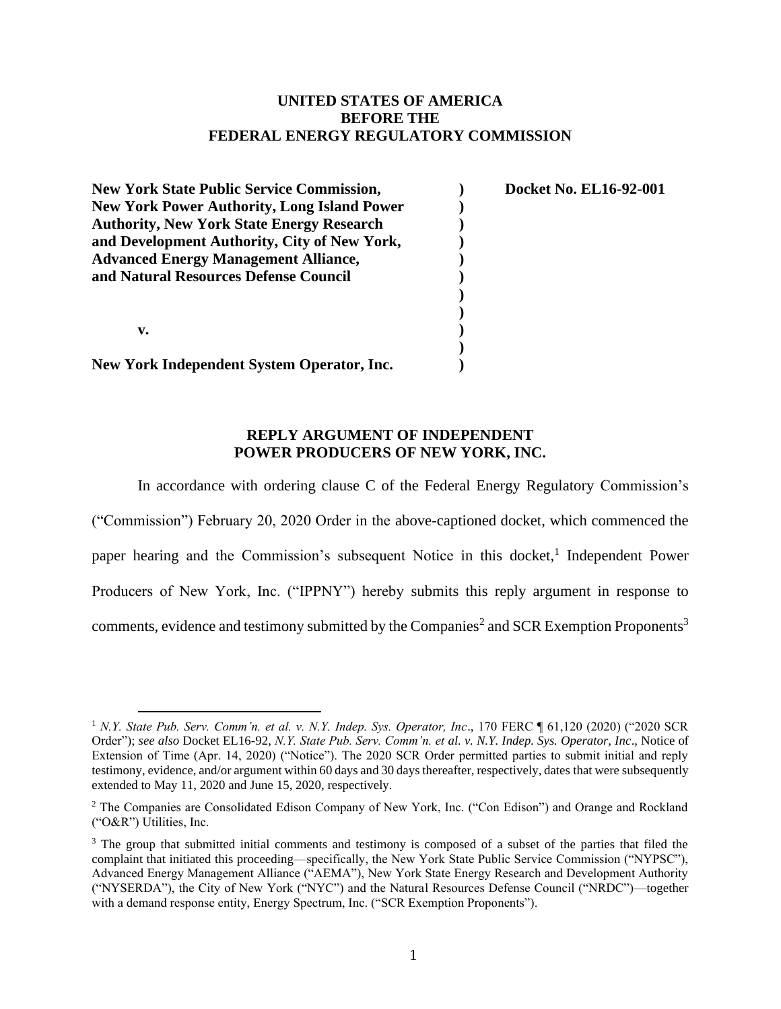## **UNITED STATES OF AMERICA BEFORE THE FEDERAL ENERGY REGULATORY COMMISSION**

| <b>New York State Public Service Commission,</b>   | Docket No. EL16-92-001 |
|----------------------------------------------------|------------------------|
| <b>New York Power Authority, Long Island Power</b> |                        |
| <b>Authority, New York State Energy Research</b>   |                        |
| and Development Authority, City of New York,       |                        |
| <b>Advanced Energy Management Alliance,</b>        |                        |
| and Natural Resources Defense Council              |                        |
|                                                    |                        |
|                                                    |                        |
| v.                                                 |                        |
|                                                    |                        |
| New York Independent System Operator, Inc.         |                        |

## **REPLY ARGUMENT OF INDEPENDENT POWER PRODUCERS OF NEW YORK, INC.**

In accordance with ordering clause C of the Federal Energy Regulatory Commission's ("Commission") February 20, 2020 Order in the above-captioned docket, which commenced the paper hearing and the Commission's subsequent Notice in this docket,<sup>1</sup> Independent Power Producers of New York, Inc. ("IPPNY") hereby submits this reply argument in response to comments, evidence and testimony submitted by the Companies<sup>2</sup> and SCR Exemption Proponents<sup>3</sup>

<sup>1</sup> *N.Y. State Pub. Serv. Comm'n. et al. v. N.Y. Indep. Sys. Operator, Inc*., 170 FERC ¶ 61,120 (2020) ("2020 SCR Order"); *see also* Docket EL16-92, *N.Y. State Pub. Serv. Comm'n. et al. v. N.Y. Indep. Sys. Operator, Inc*., Notice of Extension of Time (Apr. 14, 2020) ("Notice"). The 2020 SCR Order permitted parties to submit initial and reply testimony, evidence, and/or argument within 60 days and 30 days thereafter, respectively, dates that were subsequently extended to May 11, 2020 and June 15, 2020, respectively.

<sup>2</sup> The Companies are Consolidated Edison Company of New York, Inc. ("Con Edison") and Orange and Rockland ("O&R") Utilities, Inc.

<sup>&</sup>lt;sup>3</sup> The group that submitted initial comments and testimony is composed of a subset of the parties that filed the complaint that initiated this proceeding—specifically, the New York State Public Service Commission ("NYPSC"), Advanced Energy Management Alliance ("AEMA"), New York State Energy Research and Development Authority ("NYSERDA"), the City of New York ("NYC") and the Natural Resources Defense Council ("NRDC")—together with a demand response entity, Energy Spectrum, Inc. ("SCR Exemption Proponents").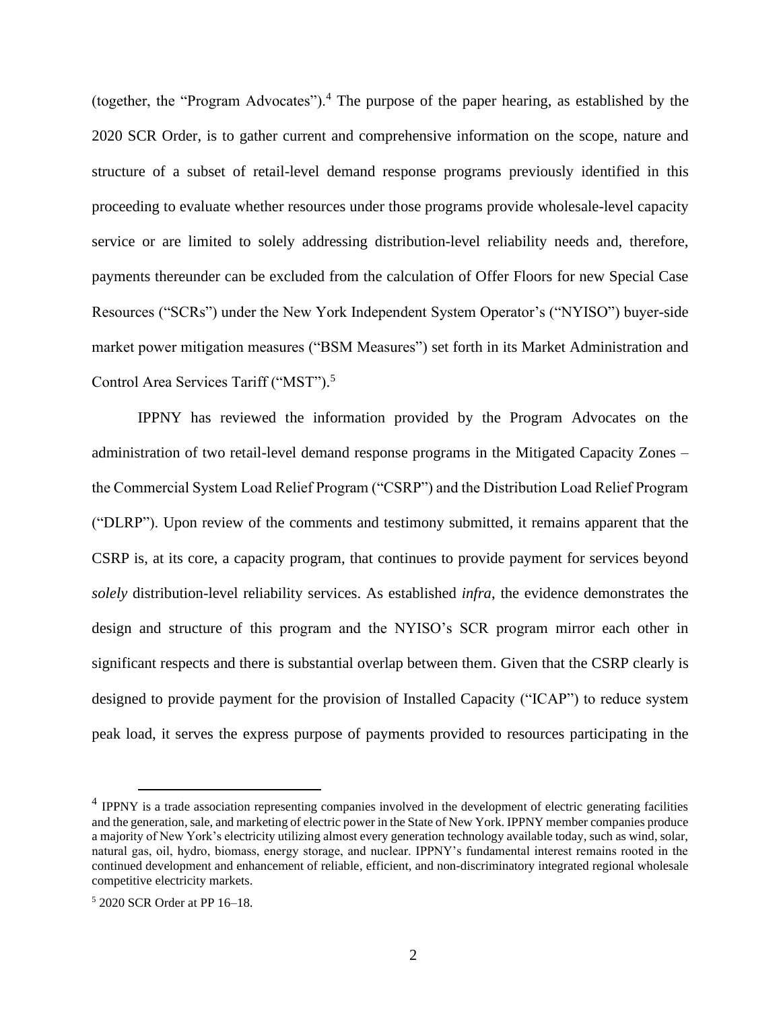(together, the "Program Advocates").<sup>4</sup> The purpose of the paper hearing, as established by the 2020 SCR Order, is to gather current and comprehensive information on the scope, nature and structure of a subset of retail-level demand response programs previously identified in this proceeding to evaluate whether resources under those programs provide wholesale-level capacity service or are limited to solely addressing distribution-level reliability needs and, therefore, payments thereunder can be excluded from the calculation of Offer Floors for new Special Case Resources ("SCRs") under the New York Independent System Operator's ("NYISO") buyer-side market power mitigation measures ("BSM Measures") set forth in its Market Administration and Control Area Services Tariff ("MST"). 5

IPPNY has reviewed the information provided by the Program Advocates on the administration of two retail-level demand response programs in the Mitigated Capacity Zones – the Commercial System Load Relief Program ("CSRP") and the Distribution Load Relief Program ("DLRP"). Upon review of the comments and testimony submitted, it remains apparent that the CSRP is, at its core, a capacity program, that continues to provide payment for services beyond *solely* distribution-level reliability services. As established *infra*, the evidence demonstrates the design and structure of this program and the NYISO's SCR program mirror each other in significant respects and there is substantial overlap between them. Given that the CSRP clearly is designed to provide payment for the provision of Installed Capacity ("ICAP") to reduce system peak load, it serves the express purpose of payments provided to resources participating in the

<sup>&</sup>lt;sup>4</sup> IPPNY is a trade association representing companies involved in the development of electric generating facilities and the generation, sale, and marketing of electric power in the State of New York. IPPNY member companies produce a majority of New York's electricity utilizing almost every generation technology available today, such as wind, solar, natural gas, oil, hydro, biomass, energy storage, and nuclear. IPPNY's fundamental interest remains rooted in the continued development and enhancement of reliable, efficient, and non-discriminatory integrated regional wholesale competitive electricity markets.

<sup>5</sup> 2020 SCR Order at PP 16–18.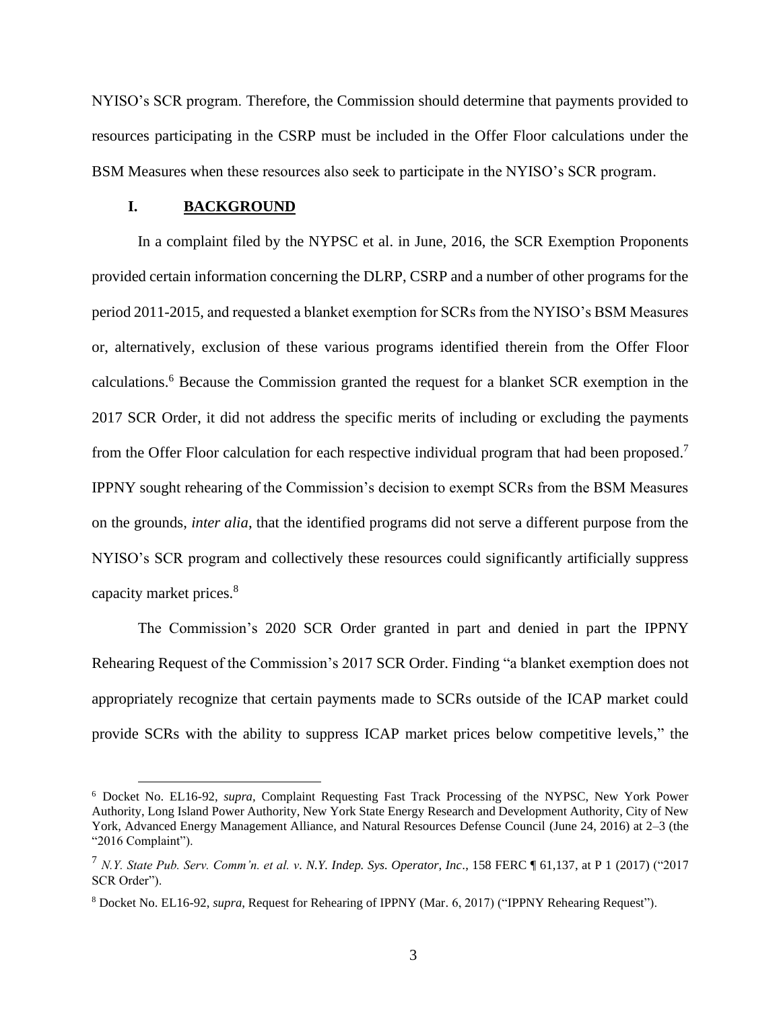NYISO's SCR program. Therefore, the Commission should determine that payments provided to resources participating in the CSRP must be included in the Offer Floor calculations under the BSM Measures when these resources also seek to participate in the NYISO's SCR program.

#### **I. BACKGROUND**

In a complaint filed by the NYPSC et al. in June, 2016, the SCR Exemption Proponents provided certain information concerning the DLRP, CSRP and a number of other programs for the period 2011-2015, and requested a blanket exemption for SCRs from the NYISO's BSM Measures or, alternatively, exclusion of these various programs identified therein from the Offer Floor calculations.<sup>6</sup> Because the Commission granted the request for a blanket SCR exemption in the 2017 SCR Order, it did not address the specific merits of including or excluding the payments from the Offer Floor calculation for each respective individual program that had been proposed.<sup>7</sup> IPPNY sought rehearing of the Commission's decision to exempt SCRs from the BSM Measures on the grounds, *inter alia*, that the identified programs did not serve a different purpose from the NYISO's SCR program and collectively these resources could significantly artificially suppress capacity market prices.<sup>8</sup>

The Commission's 2020 SCR Order granted in part and denied in part the IPPNY Rehearing Request of the Commission's 2017 SCR Order. Finding "a blanket exemption does not appropriately recognize that certain payments made to SCRs outside of the ICAP market could provide SCRs with the ability to suppress ICAP market prices below competitive levels," the

<sup>6</sup> Docket No. EL16-92, *supra,* Complaint Requesting Fast Track Processing of the NYPSC, New York Power Authority, Long Island Power Authority, New York State Energy Research and Development Authority, City of New York, Advanced Energy Management Alliance, and Natural Resources Defense Council (June 24, 2016) at 2–3 (the "2016 Complaint").

<sup>7</sup> *N.Y. State Pub. Serv. Comm'n. et al. v. N.Y. Indep. Sys. Operator, Inc*., 158 FERC ¶ 61,137, at P 1 (2017) ("2017 SCR Order").

<sup>8</sup> Docket No. EL16-92, *supra*, Request for Rehearing of IPPNY (Mar. 6, 2017) ("IPPNY Rehearing Request").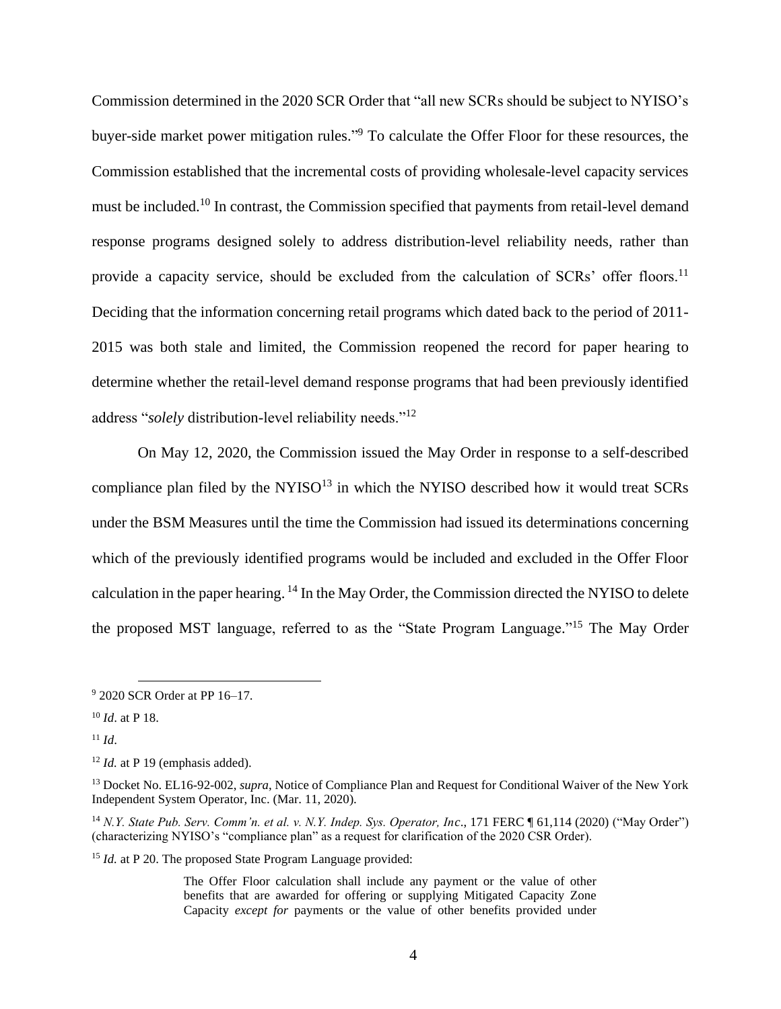Commission determined in the 2020 SCR Order that "all new SCRs should be subject to NYISO's buyer-side market power mitigation rules." <sup>9</sup> To calculate the Offer Floor for these resources, the Commission established that the incremental costs of providing wholesale-level capacity services must be included.<sup>10</sup> In contrast, the Commission specified that payments from retail-level demand response programs designed solely to address distribution-level reliability needs, rather than provide a capacity service, should be excluded from the calculation of SCRs' offer floors.<sup>11</sup> Deciding that the information concerning retail programs which dated back to the period of 2011- 2015 was both stale and limited, the Commission reopened the record for paper hearing to determine whether the retail-level demand response programs that had been previously identified address "*solely* distribution-level reliability needs."<sup>12</sup>

On May 12, 2020, the Commission issued the May Order in response to a self-described compliance plan filed by the NYISO $13$  in which the NYISO described how it would treat SCRs under the BSM Measures until the time the Commission had issued its determinations concerning which of the previously identified programs would be included and excluded in the Offer Floor calculation in the paper hearing. <sup>14</sup> In the May Order, the Commission directed the NYISO to delete the proposed MST language, referred to as the "State Program Language."<sup>15</sup> The May Order

<sup>9</sup> 2020 SCR Order at PP 16–17.

<sup>10</sup> *Id*. at P 18.

 $11$  *Id.* 

<sup>&</sup>lt;sup>12</sup> *Id.* at P 19 (emphasis added).

<sup>13</sup> Docket No. EL16-92-002, *supra*, Notice of Compliance Plan and Request for Conditional Waiver of the New York Independent System Operator, Inc. (Mar. 11, 2020).

<sup>14</sup> *N.Y. State Pub. Serv. Comm'n. et al. v. N.Y. Indep. Sys. Operator, Inc*., 171 FERC ¶ 61,114 (2020) ("May Order") (characterizing NYISO's "compliance plan" as a request for clarification of the 2020 CSR Order).

<sup>15</sup> *Id.* at P 20. The proposed State Program Language provided:

The Offer Floor calculation shall include any payment or the value of other benefits that are awarded for offering or supplying Mitigated Capacity Zone Capacity *except for* payments or the value of other benefits provided under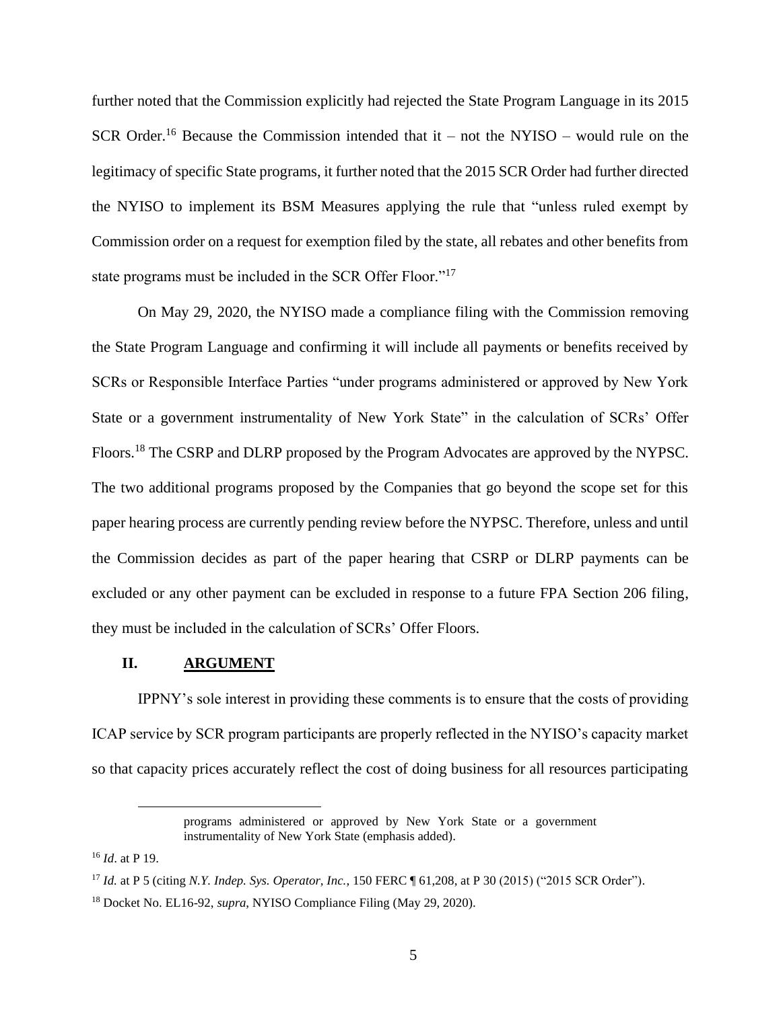further noted that the Commission explicitly had rejected the State Program Language in its 2015 SCR Order. <sup>16</sup> Because the Commission intended that it – not the NYISO – would rule on the legitimacy of specific State programs, it further noted that the 2015 SCR Order had further directed the NYISO to implement its BSM Measures applying the rule that "unless ruled exempt by Commission order on a request for exemption filed by the state, all rebates and other benefits from state programs must be included in the SCR Offer Floor."<sup>17</sup>

On May 29, 2020, the NYISO made a compliance filing with the Commission removing the State Program Language and confirming it will include all payments or benefits received by SCRs or Responsible Interface Parties "under programs administered or approved by New York State or a government instrumentality of New York State" in the calculation of SCRs' Offer Floors.<sup>18</sup> The CSRP and DLRP proposed by the Program Advocates are approved by the NYPSC. The two additional programs proposed by the Companies that go beyond the scope set for this paper hearing process are currently pending review before the NYPSC. Therefore, unless and until the Commission decides as part of the paper hearing that CSRP or DLRP payments can be excluded or any other payment can be excluded in response to a future FPA Section 206 filing, they must be included in the calculation of SCRs' Offer Floors.

#### **II. ARGUMENT**

IPPNY's sole interest in providing these comments is to ensure that the costs of providing ICAP service by SCR program participants are properly reflected in the NYISO's capacity market so that capacity prices accurately reflect the cost of doing business for all resources participating

programs administered or approved by New York State or a government instrumentality of New York State (emphasis added).

<sup>16</sup> *Id*. at P 19.

<sup>17</sup> *Id.* at P 5 (citing *N.Y. Indep. Sys. Operator, Inc.*, 150 FERC ¶ 61,208, at P 30 (2015) ("2015 SCR Order").

<sup>18</sup> Docket No. EL16-92, *supra*, NYISO Compliance Filing (May 29, 2020).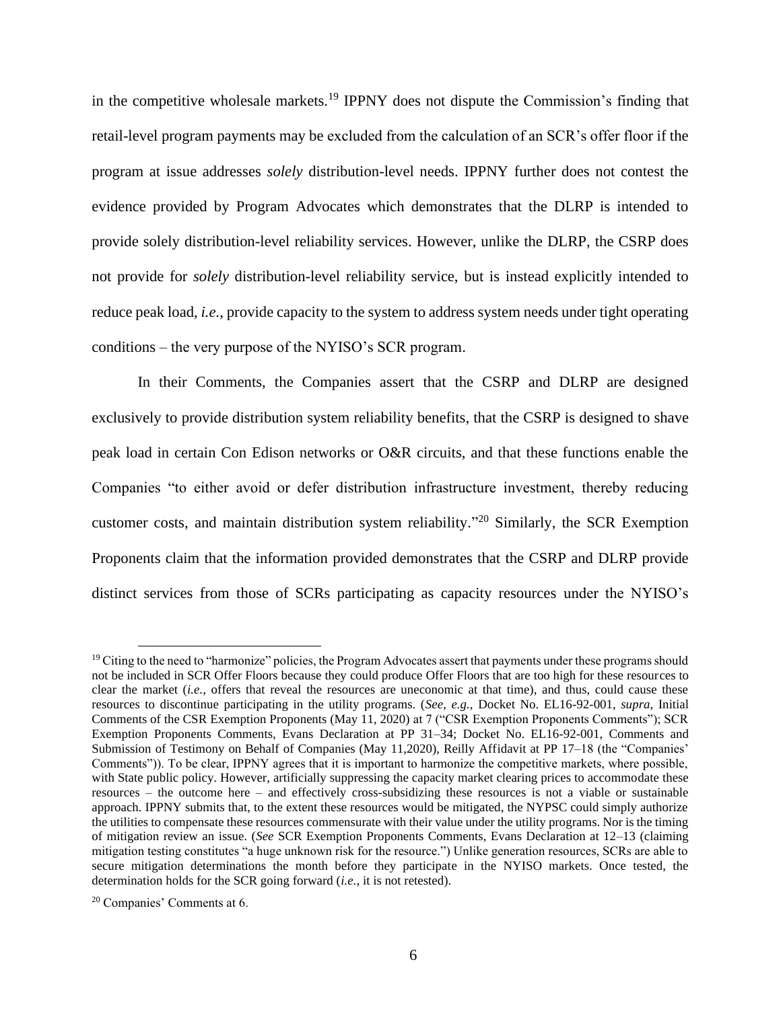in the competitive wholesale markets.<sup>19</sup> IPPNY does not dispute the Commission's finding that retail-level program payments may be excluded from the calculation of an SCR's offer floor if the program at issue addresses *solely* distribution-level needs. IPPNY further does not contest the evidence provided by Program Advocates which demonstrates that the DLRP is intended to provide solely distribution-level reliability services. However, unlike the DLRP, the CSRP does not provide for *solely* distribution-level reliability service, but is instead explicitly intended to reduce peak load, *i.e.*, provide capacity to the system to address system needs under tight operating conditions – the very purpose of the NYISO's SCR program.

In their Comments, the Companies assert that the CSRP and DLRP are designed exclusively to provide distribution system reliability benefits, that the CSRP is designed to shave peak load in certain Con Edison networks or O&R circuits, and that these functions enable the Companies "to either avoid or defer distribution infrastructure investment, thereby reducing customer costs, and maintain distribution system reliability."<sup>20</sup> Similarly, the SCR Exemption Proponents claim that the information provided demonstrates that the CSRP and DLRP provide distinct services from those of SCRs participating as capacity resources under the NYISO's

 $19$  Citing to the need to "harmonize" policies, the Program Advocates assert that payments under these programs should not be included in SCR Offer Floors because they could produce Offer Floors that are too high for these resources to clear the market (*i.e.*, offers that reveal the resources are uneconomic at that time), and thus, could cause these resources to discontinue participating in the utility programs. (*See, e.g.,* Docket No. EL16-92-001, *supra*, Initial Comments of the CSR Exemption Proponents (May 11, 2020) at 7 ("CSR Exemption Proponents Comments"); SCR Exemption Proponents Comments, Evans Declaration at PP 31–34; Docket No. EL16-92-001, Comments and Submission of Testimony on Behalf of Companies (May 11,2020), Reilly Affidavit at PP 17–18 (the "Companies' Comments")). To be clear, IPPNY agrees that it is important to harmonize the competitive markets, where possible, with State public policy. However, artificially suppressing the capacity market clearing prices to accommodate these resources – the outcome here – and effectively cross-subsidizing these resources is not a viable or sustainable approach. IPPNY submits that, to the extent these resources would be mitigated, the NYPSC could simply authorize the utilities to compensate these resources commensurate with their value under the utility programs. Nor is the timing of mitigation review an issue. (*See* SCR Exemption Proponents Comments, Evans Declaration at 12–13 (claiming mitigation testing constitutes "a huge unknown risk for the resource.") Unlike generation resources, SCRs are able to secure mitigation determinations the month before they participate in the NYISO markets. Once tested, the determination holds for the SCR going forward (*i.e.*, it is not retested).

<sup>20</sup> Companies' Comments at 6.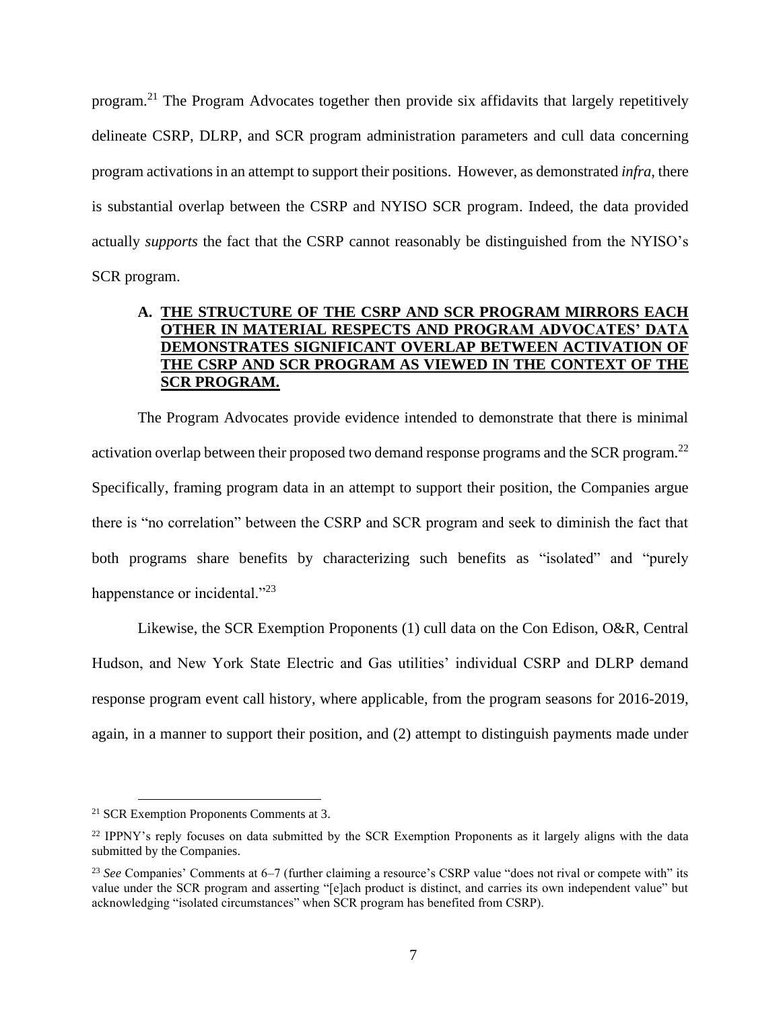program.<sup>21</sup> The Program Advocates together then provide six affidavits that largely repetitively delineate CSRP, DLRP, and SCR program administration parameters and cull data concerning program activations in an attempt to support their positions. However, as demonstrated *infra*, there is substantial overlap between the CSRP and NYISO SCR program. Indeed, the data provided actually *supports* the fact that the CSRP cannot reasonably be distinguished from the NYISO's SCR program.

## **A. THE STRUCTURE OF THE CSRP AND SCR PROGRAM MIRRORS EACH OTHER IN MATERIAL RESPECTS AND PROGRAM ADVOCATES' DATA DEMONSTRATES SIGNIFICANT OVERLAP BETWEEN ACTIVATION OF THE CSRP AND SCR PROGRAM AS VIEWED IN THE CONTEXT OF THE SCR PROGRAM.**

The Program Advocates provide evidence intended to demonstrate that there is minimal activation overlap between their proposed two demand response programs and the SCR program.<sup>22</sup> Specifically, framing program data in an attempt to support their position, the Companies argue there is "no correlation" between the CSRP and SCR program and seek to diminish the fact that both programs share benefits by characterizing such benefits as "isolated" and "purely happenstance or incidental."<sup>23</sup>

Likewise, the SCR Exemption Proponents (1) cull data on the Con Edison, O&R, Central Hudson, and New York State Electric and Gas utilities' individual CSRP and DLRP demand response program event call history, where applicable, from the program seasons for 2016-2019, again, in a manner to support their position, and (2) attempt to distinguish payments made under

<sup>21</sup> SCR Exemption Proponents Comments at 3.

<sup>&</sup>lt;sup>22</sup> IPPNY's reply focuses on data submitted by the SCR Exemption Proponents as it largely aligns with the data submitted by the Companies.

<sup>23</sup> *See* Companies' Comments at 6–7 (further claiming a resource's CSRP value "does not rival or compete with" its value under the SCR program and asserting "[e]ach product is distinct, and carries its own independent value" but acknowledging "isolated circumstances" when SCR program has benefited from CSRP).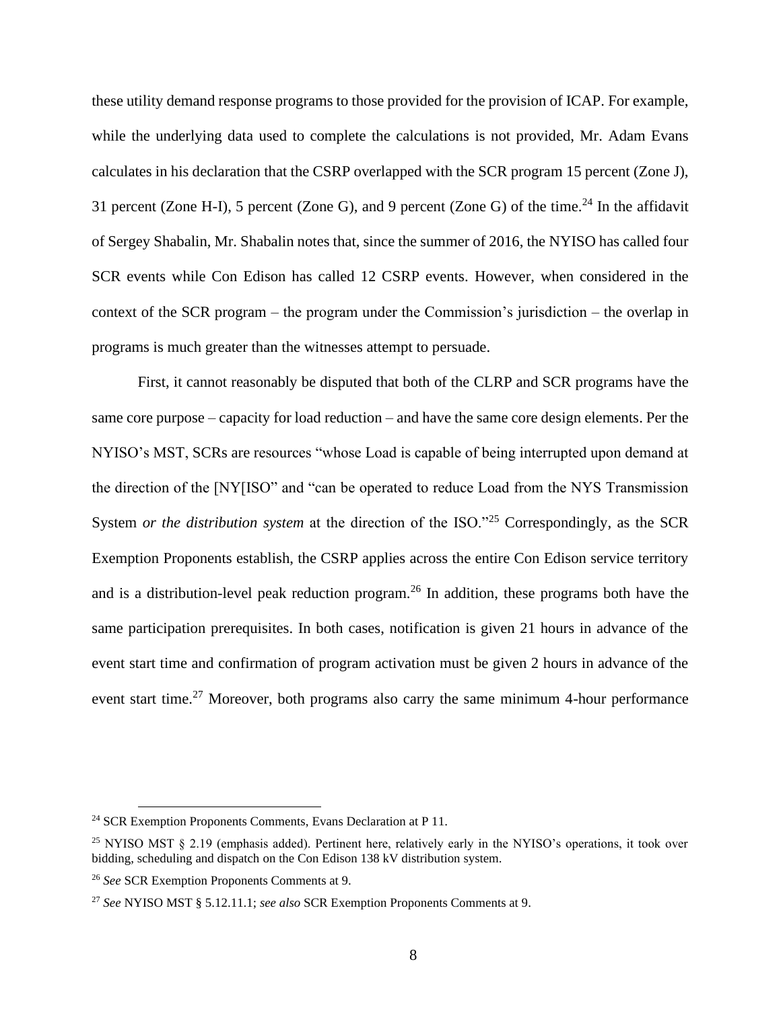these utility demand response programs to those provided for the provision of ICAP. For example, while the underlying data used to complete the calculations is not provided, Mr. Adam Evans calculates in his declaration that the CSRP overlapped with the SCR program 15 percent (Zone J), 31 percent (Zone H-I), 5 percent (Zone G), and 9 percent (Zone G) of the time.<sup>24</sup> In the affidavit of Sergey Shabalin, Mr. Shabalin notes that, since the summer of 2016, the NYISO has called four SCR events while Con Edison has called 12 CSRP events. However, when considered in the context of the SCR program – the program under the Commission's jurisdiction – the overlap in programs is much greater than the witnesses attempt to persuade.

First, it cannot reasonably be disputed that both of the CLRP and SCR programs have the same core purpose – capacity for load reduction – and have the same core design elements. Per the NYISO's MST, SCRs are resources "whose Load is capable of being interrupted upon demand at the direction of the [NY[ISO" and "can be operated to reduce Load from the NYS Transmission System *or the distribution system* at the direction of the ISO."<sup>25</sup> Correspondingly, as the SCR Exemption Proponents establish, the CSRP applies across the entire Con Edison service territory and is a distribution-level peak reduction program.<sup>26</sup> In addition, these programs both have the same participation prerequisites. In both cases, notification is given 21 hours in advance of the event start time and confirmation of program activation must be given 2 hours in advance of the event start time.<sup>27</sup> Moreover, both programs also carry the same minimum 4-hour performance

<sup>24</sup> SCR Exemption Proponents Comments, Evans Declaration at P 11.

<sup>&</sup>lt;sup>25</sup> NYISO MST  $\S$  2.19 (emphasis added). Pertinent here, relatively early in the NYISO's operations, it took over bidding, scheduling and dispatch on the Con Edison 138 kV distribution system.

<sup>26</sup> *See* SCR Exemption Proponents Comments at 9.

<sup>27</sup> *See* NYISO MST § 5.12.11.1; *see also* SCR Exemption Proponents Comments at 9.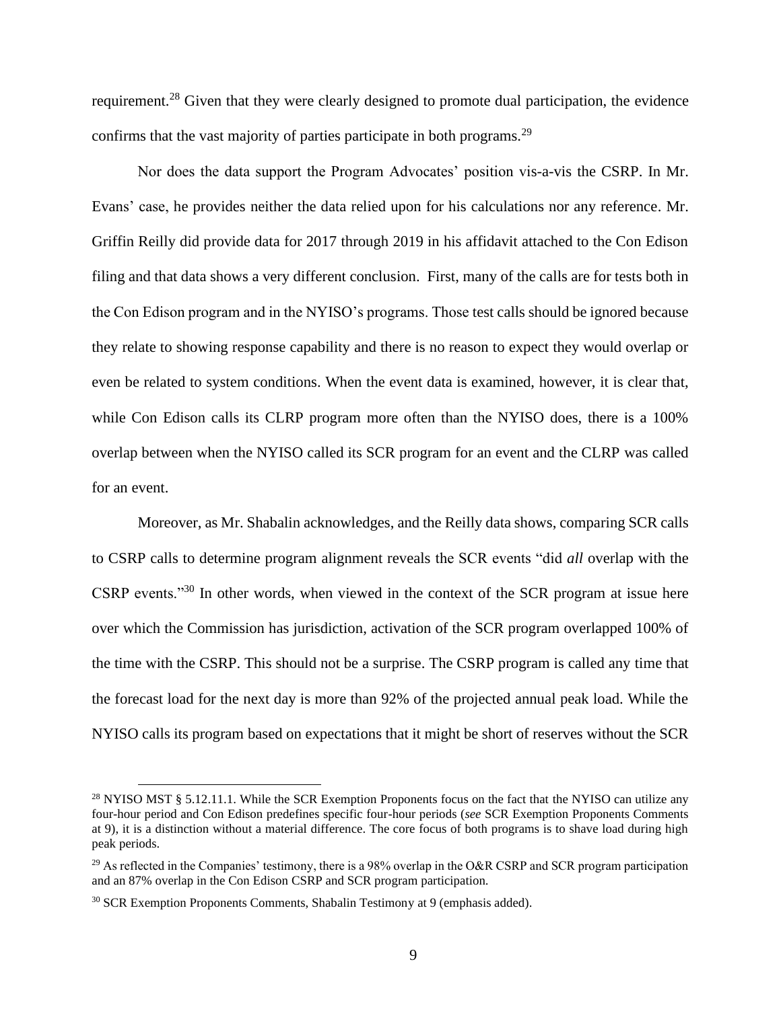requirement.<sup>28</sup> Given that they were clearly designed to promote dual participation, the evidence confirms that the vast majority of parties participate in both programs.<sup>29</sup>

Nor does the data support the Program Advocates' position vis-a-vis the CSRP. In Mr. Evans' case, he provides neither the data relied upon for his calculations nor any reference. Mr. Griffin Reilly did provide data for 2017 through 2019 in his affidavit attached to the Con Edison filing and that data shows a very different conclusion. First, many of the calls are for tests both in the Con Edison program and in the NYISO's programs. Those test calls should be ignored because they relate to showing response capability and there is no reason to expect they would overlap or even be related to system conditions. When the event data is examined, however, it is clear that, while Con Edison calls its CLRP program more often than the NYISO does, there is a 100% overlap between when the NYISO called its SCR program for an event and the CLRP was called for an event.

Moreover, as Mr. Shabalin acknowledges, and the Reilly data shows, comparing SCR calls to CSRP calls to determine program alignment reveals the SCR events "did *all* overlap with the CSRP events."<sup>30</sup> In other words, when viewed in the context of the SCR program at issue here over which the Commission has jurisdiction, activation of the SCR program overlapped 100% of the time with the CSRP. This should not be a surprise. The CSRP program is called any time that the forecast load for the next day is more than 92% of the projected annual peak load. While the NYISO calls its program based on expectations that it might be short of reserves without the SCR

<sup>&</sup>lt;sup>28</sup> NYISO MST § 5.12.11.1. While the SCR Exemption Proponents focus on the fact that the NYISO can utilize any four-hour period and Con Edison predefines specific four-hour periods (*see* SCR Exemption Proponents Comments at 9), it is a distinction without a material difference. The core focus of both programs is to shave load during high peak periods.

<sup>&</sup>lt;sup>29</sup> As reflected in the Companies' testimony, there is a 98% overlap in the O&R CSRP and SCR program participation and an 87% overlap in the Con Edison CSRP and SCR program participation.

<sup>30</sup> SCR Exemption Proponents Comments, Shabalin Testimony at 9 (emphasis added).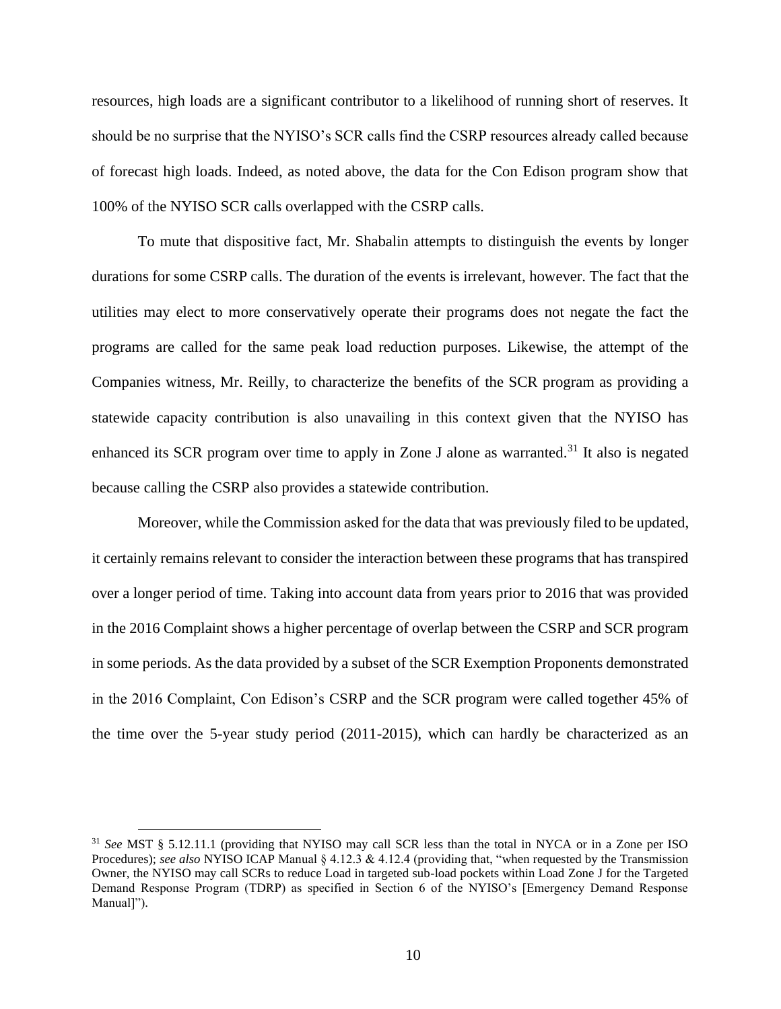resources, high loads are a significant contributor to a likelihood of running short of reserves. It should be no surprise that the NYISO's SCR calls find the CSRP resources already called because of forecast high loads. Indeed, as noted above, the data for the Con Edison program show that 100% of the NYISO SCR calls overlapped with the CSRP calls.

To mute that dispositive fact, Mr. Shabalin attempts to distinguish the events by longer durations for some CSRP calls. The duration of the events is irrelevant, however. The fact that the utilities may elect to more conservatively operate their programs does not negate the fact the programs are called for the same peak load reduction purposes. Likewise, the attempt of the Companies witness, Mr. Reilly, to characterize the benefits of the SCR program as providing a statewide capacity contribution is also unavailing in this context given that the NYISO has enhanced its SCR program over time to apply in Zone J alone as warranted.<sup>31</sup> It also is negated because calling the CSRP also provides a statewide contribution.

Moreover, while the Commission asked for the data that was previously filed to be updated, it certainly remains relevant to consider the interaction between these programs that has transpired over a longer period of time. Taking into account data from years prior to 2016 that was provided in the 2016 Complaint shows a higher percentage of overlap between the CSRP and SCR program in some periods. As the data provided by a subset of the SCR Exemption Proponents demonstrated in the 2016 Complaint, Con Edison's CSRP and the SCR program were called together 45% of the time over the 5-year study period (2011-2015), which can hardly be characterized as an

<sup>31</sup> *See* MST § 5.12.11.1 (providing that NYISO may call SCR less than the total in NYCA or in a Zone per ISO Procedures); *see also* NYISO ICAP Manual § 4.12.3 & 4.12.4 (providing that, "when requested by the Transmission Owner, the NYISO may call SCRs to reduce Load in targeted sub-load pockets within Load Zone J for the Targeted Demand Response Program (TDRP) as specified in Section 6 of the NYISO's [Emergency Demand Response Manual]").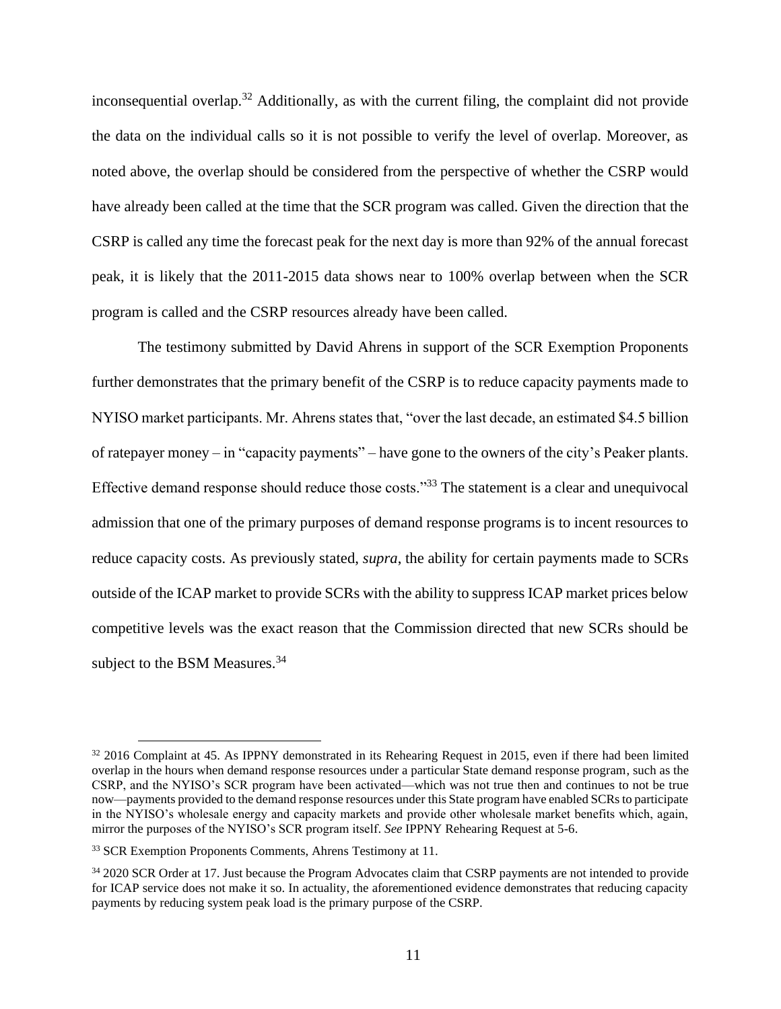inconsequential overlap.<sup>32</sup> Additionally, as with the current filing, the complaint did not provide the data on the individual calls so it is not possible to verify the level of overlap. Moreover, as noted above, the overlap should be considered from the perspective of whether the CSRP would have already been called at the time that the SCR program was called. Given the direction that the CSRP is called any time the forecast peak for the next day is more than 92% of the annual forecast peak, it is likely that the 2011-2015 data shows near to 100% overlap between when the SCR program is called and the CSRP resources already have been called.

The testimony submitted by David Ahrens in support of the SCR Exemption Proponents further demonstrates that the primary benefit of the CSRP is to reduce capacity payments made to NYISO market participants. Mr. Ahrens states that, "over the last decade, an estimated \$4.5 billion of ratepayer money – in "capacity payments" – have gone to the owners of the city's Peaker plants. Effective demand response should reduce those costs."<sup>33</sup> The statement is a clear and unequivocal admission that one of the primary purposes of demand response programs is to incent resources to reduce capacity costs. As previously stated, *supra*, the ability for certain payments made to SCRs outside of the ICAP market to provide SCRs with the ability to suppress ICAP market prices below competitive levels was the exact reason that the Commission directed that new SCRs should be subject to the BSM Measures.<sup>34</sup>

<sup>&</sup>lt;sup>32</sup> 2016 Complaint at 45. As IPPNY demonstrated in its Rehearing Request in 2015, even if there had been limited overlap in the hours when demand response resources under a particular State demand response program, such as the CSRP, and the NYISO's SCR program have been activated—which was not true then and continues to not be true now—payments provided to the demand response resources under this State program have enabled SCRs to participate in the NYISO's wholesale energy and capacity markets and provide other wholesale market benefits which, again, mirror the purposes of the NYISO's SCR program itself. *See* IPPNY Rehearing Request at 5-6.

<sup>&</sup>lt;sup>33</sup> SCR Exemption Proponents Comments, Ahrens Testimony at 11.

<sup>&</sup>lt;sup>34</sup> 2020 SCR Order at 17. Just because the Program Advocates claim that CSRP payments are not intended to provide for ICAP service does not make it so. In actuality, the aforementioned evidence demonstrates that reducing capacity payments by reducing system peak load is the primary purpose of the CSRP.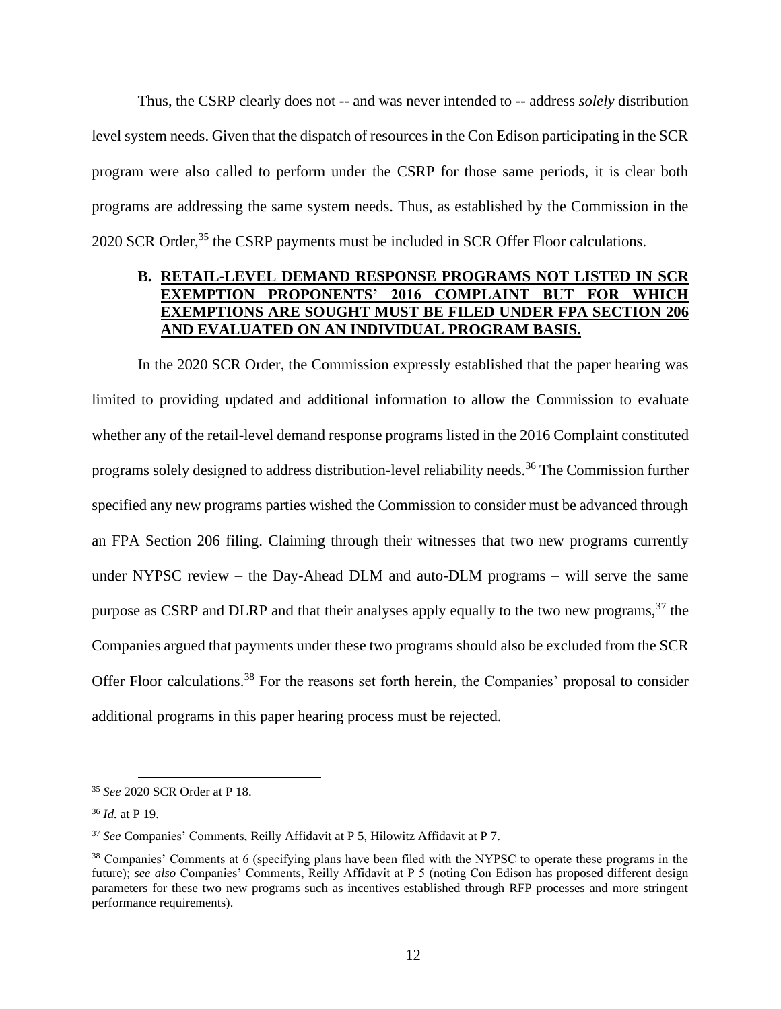Thus, the CSRP clearly does not -- and was never intended to -- address *solely* distribution level system needs. Given that the dispatch of resources in the Con Edison participating in the SCR program were also called to perform under the CSRP for those same periods, it is clear both programs are addressing the same system needs. Thus, as established by the Commission in the 2020 SCR Order,<sup>35</sup> the CSRP payments must be included in SCR Offer Floor calculations.

## **B. RETAIL-LEVEL DEMAND RESPONSE PROGRAMS NOT LISTED IN SCR EXEMPTION PROPONENTS' 2016 COMPLAINT BUT FOR WHICH EXEMPTIONS ARE SOUGHT MUST BE FILED UNDER FPA SECTION 206 AND EVALUATED ON AN INDIVIDUAL PROGRAM BASIS.**

In the 2020 SCR Order, the Commission expressly established that the paper hearing was limited to providing updated and additional information to allow the Commission to evaluate whether any of the retail-level demand response programs listed in the 2016 Complaint constituted programs solely designed to address distribution-level reliability needs.<sup>36</sup> The Commission further specified any new programs parties wished the Commission to consider must be advanced through an FPA Section 206 filing. Claiming through their witnesses that two new programs currently under NYPSC review – the Day-Ahead DLM and auto-DLM programs – will serve the same purpose as CSRP and DLRP and that their analyses apply equally to the two new programs,  $37$  the Companies argued that payments under these two programs should also be excluded from the SCR Offer Floor calculations.<sup>38</sup> For the reasons set forth herein, the Companies' proposal to consider additional programs in this paper hearing process must be rejected.

<sup>35</sup> *See* 2020 SCR Order at P 18.

<sup>36</sup> *Id.* at P 19.

<sup>37</sup> *See* Companies' Comments, Reilly Affidavit at P 5, Hilowitz Affidavit at P 7.

<sup>38</sup> Companies' Comments at 6 (specifying plans have been filed with the NYPSC to operate these programs in the future); *see also* Companies' Comments, Reilly Affidavit at P 5 (noting Con Edison has proposed different design parameters for these two new programs such as incentives established through RFP processes and more stringent performance requirements).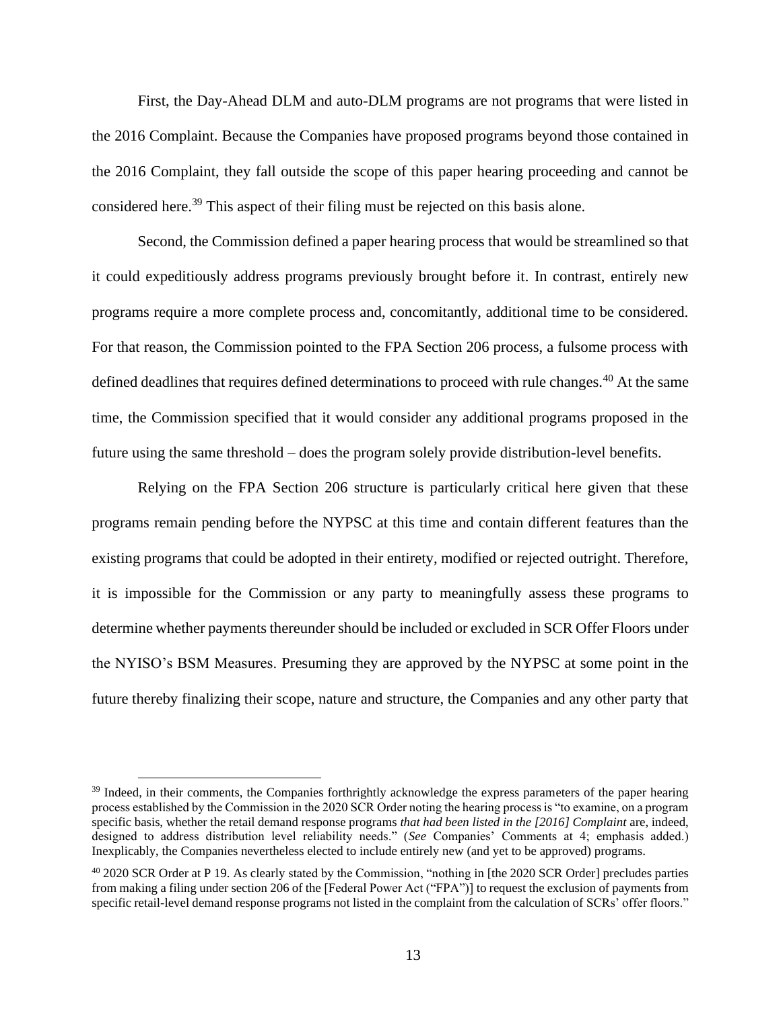First, the Day-Ahead DLM and auto-DLM programs are not programs that were listed in the 2016 Complaint. Because the Companies have proposed programs beyond those contained in the 2016 Complaint, they fall outside the scope of this paper hearing proceeding and cannot be considered here.<sup>39</sup> This aspect of their filing must be rejected on this basis alone.

Second, the Commission defined a paper hearing process that would be streamlined so that it could expeditiously address programs previously brought before it. In contrast, entirely new programs require a more complete process and, concomitantly, additional time to be considered. For that reason, the Commission pointed to the FPA Section 206 process, a fulsome process with defined deadlines that requires defined determinations to proceed with rule changes.<sup>40</sup> At the same time, the Commission specified that it would consider any additional programs proposed in the future using the same threshold – does the program solely provide distribution-level benefits.

Relying on the FPA Section 206 structure is particularly critical here given that these programs remain pending before the NYPSC at this time and contain different features than the existing programs that could be adopted in their entirety, modified or rejected outright. Therefore, it is impossible for the Commission or any party to meaningfully assess these programs to determine whether payments thereunder should be included or excluded in SCR Offer Floors under the NYISO's BSM Measures. Presuming they are approved by the NYPSC at some point in the future thereby finalizing their scope, nature and structure, the Companies and any other party that

<sup>&</sup>lt;sup>39</sup> Indeed, in their comments, the Companies forthrightly acknowledge the express parameters of the paper hearing process established by the Commission in the 2020 SCR Order noting the hearing process is "to examine, on a program specific basis, whether the retail demand response programs *that had been listed in the [2016] Complaint* are, indeed, designed to address distribution level reliability needs." (*See* Companies' Comments at 4; emphasis added.) Inexplicably, the Companies nevertheless elected to include entirely new (and yet to be approved) programs.

<sup>&</sup>lt;sup>40</sup> 2020 SCR Order at P 19. As clearly stated by the Commission, "nothing in [the 2020 SCR Order] precludes parties from making a filing under section 206 of the [Federal Power Act ("FPA")] to request the exclusion of payments from specific retail-level demand response programs not listed in the complaint from the calculation of SCRs' offer floors."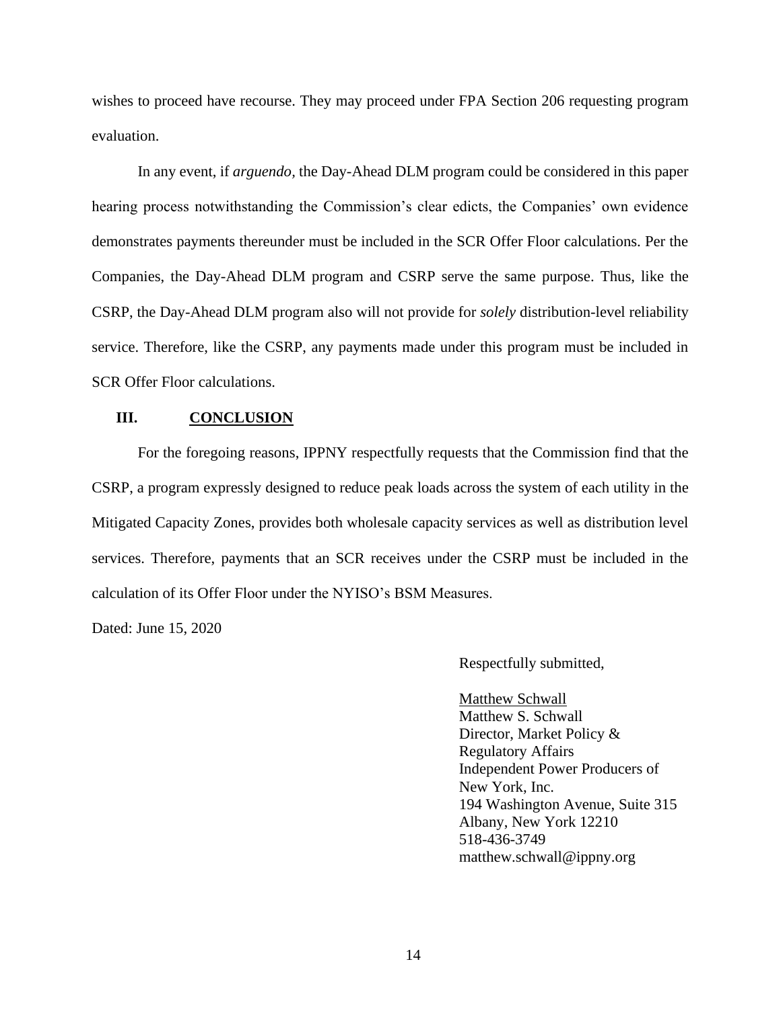wishes to proceed have recourse. They may proceed under FPA Section 206 requesting program evaluation.

In any event, if *arguendo,* the Day-Ahead DLM program could be considered in this paper hearing process notwithstanding the Commission's clear edicts, the Companies' own evidence demonstrates payments thereunder must be included in the SCR Offer Floor calculations. Per the Companies, the Day-Ahead DLM program and CSRP serve the same purpose. Thus, like the CSRP, the Day-Ahead DLM program also will not provide for *solely* distribution-level reliability service. Therefore, like the CSRP, any payments made under this program must be included in SCR Offer Floor calculations.

## **III. CONCLUSION**

For the foregoing reasons, IPPNY respectfully requests that the Commission find that the CSRP, a program expressly designed to reduce peak loads across the system of each utility in the Mitigated Capacity Zones, provides both wholesale capacity services as well as distribution level services. Therefore, payments that an SCR receives under the CSRP must be included in the calculation of its Offer Floor under the NYISO's BSM Measures.

Dated: June 15, 2020

Respectfully submitted,

Matthew Schwall Matthew S. Schwall Director, Market Policy & Regulatory Affairs Independent Power Producers of New York, Inc. 194 Washington Avenue, Suite 315 Albany, New York 12210 518-436-3749 matthew.schwall@ippny.org